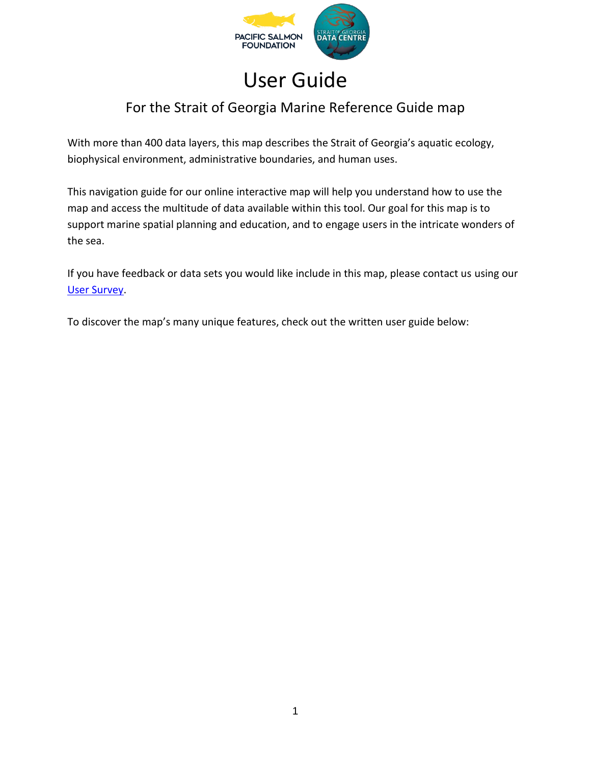

## User Guide

### For the Strait of Georgia Marine Reference Guide map

With more than 400 data layers, this map describes the Strait of Georgia's aquatic ecology, biophysical environment, administrative boundaries, and human uses.

This navigation guide for our online interactive map will help you understand how to use the map and access the multitude of data available within this tool. Our goal for this map is to support marine spatial planning and education, and to engage users in the intricate wonders of the sea.

If you have feedback or data sets you would like include in this map, please contact us using our [User Survey.](https://docs.google.com/forms/d/e/1FAIpQLScjwBLSauQSrm8Wrsfacyc31VJL8W507FRYKjfHqrqYTzF56A/viewform)

To discover the map's many unique features, check out the written user guide below: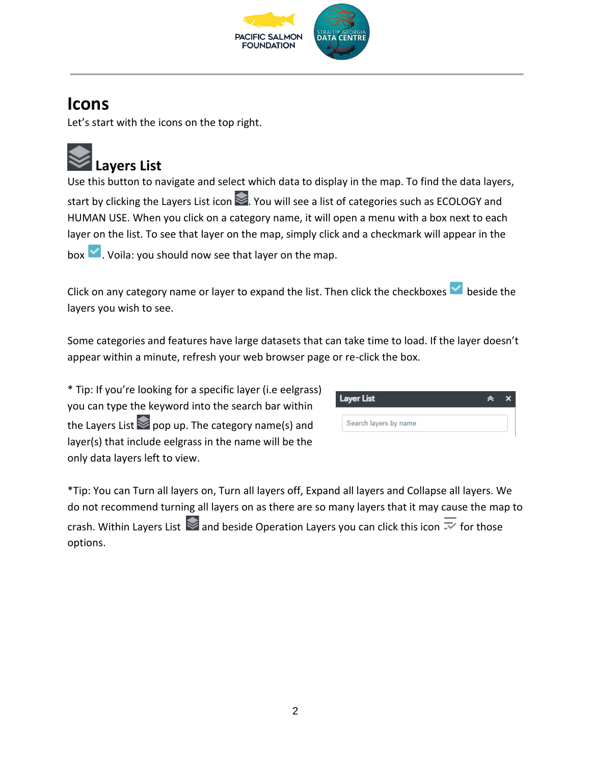

## **Icons**

Let's start with the icons on the top right.

# **Layers List**

Use this button to navigate and select which data to display in the map. To find the data layers, start by clicking the Layers List icon  $\geq$ . You will see a list of categories such as ECOLOGY and HUMAN USE. When you click on a category name, it will open a menu with a box next to each layer on the list. To see that layer on the map, simply click and a checkmark will appear in the

 $\mathsf{box} \vee$ . Voila: you should now see that layer on the map.

Click on any category name or layer to expand the list. Then click the checkboxes  $\blacktriangleright$  beside the layers you wish to see.

Some categories and features have large datasets that can take time to load. If the layer doesn't appear within a minute, refresh your web browser page or re-click the box.

\* Tip: If you're looking for a specific layer (i.e eelgrass) you can type the keyword into the search bar within the Layers List  $\geq$  pop up. The category name(s) and layer(s) that include eelgrass in the name will be the only data layers left to view.

| Layer List<br>́       |  |  |
|-----------------------|--|--|
| Search layers by name |  |  |

\*Tip: You can Turn all layers on, Turn all layers off, Expand all layers and Collapse all layers. We do not recommend turning all layers on as there are so many layers that it may cause the map to crash. Within Layers List  $\geqslant$  and beside Operation Layers you can click this icon  $\overline{\sim}$  for those options.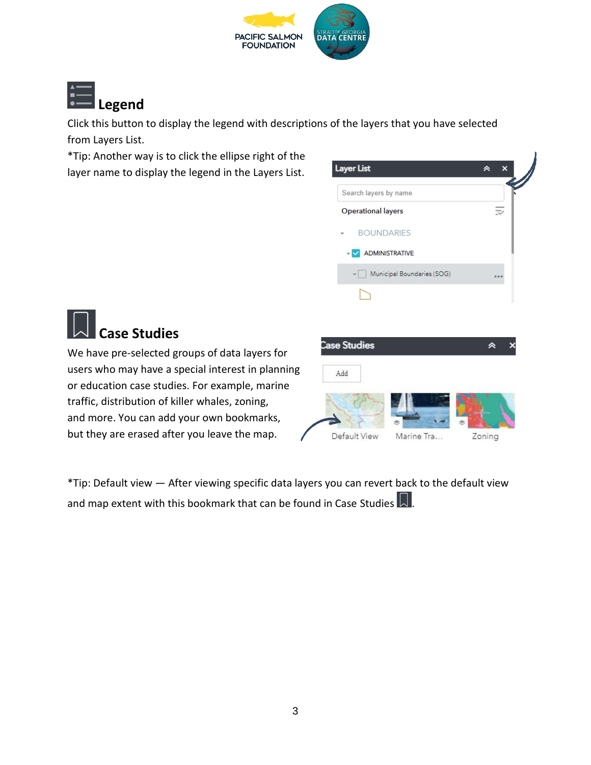



Click this button to display the legend with descriptions of the layers that you have selected from Layers List.

\*Tip: Another way is to click the ellipse right of the layer name to display the legend in the Layers List.



## **Case Studies**

We have pre-selected groups of data layers for users who may have a special interest in planning or education case studies. For example, marine traffic, distribution of killer whales, zoning, and more. You can add your own bookmarks, but they are erased after you leave the map.



\*Tip: Default view — After viewing specific data layers you can revert back to the default view and map extent with this bookmark that can be found in Case Studies  $\Box$ .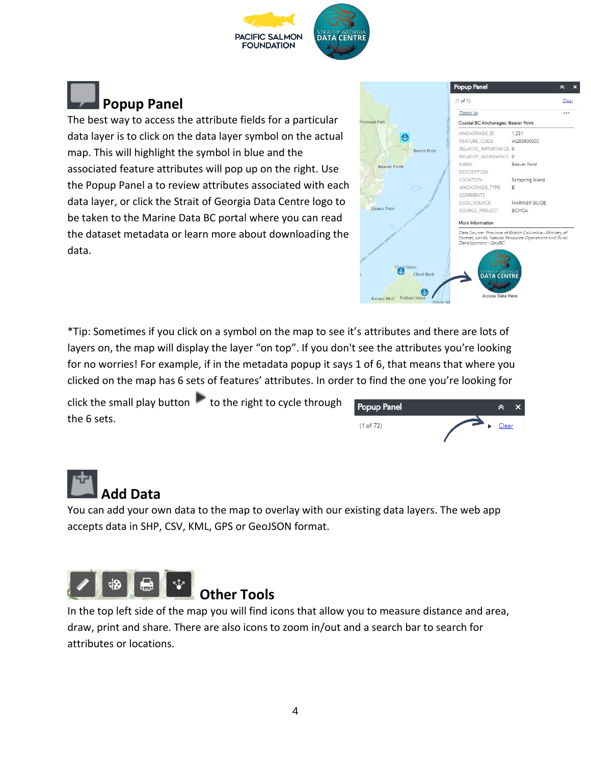



The best way to access the attribute fields for a particular data layer is to click on the data layer symbol on the actual map. This will highlight the symbol in blue and the associated feature attributes will pop up on the right. Use the Popup Panel a to review attributes associated with each data layer, or click the Strait of Georgia Data Centre logo to be taken to the Marine Data BC portal where you can read the dataset metadata or learn more about downloading the data.



\*Tip: Sometimes if you click on a symbol on the map to see it's attributes and there are lots of layers on, the map will display the layer "on top". If you don't see the attributes you're looking for no worries! For example, if in the metadata popup it says 1 of 6, that means that where you clicked on the map has 6 sets of features' attributes. In order to find the one you're looking for

click the small play button  $\mathbf{t}$  to the right to cycle through the 6 sets.

| Popup Panel |       |  |
|-------------|-------|--|
| (1 of 73)   | Clear |  |

## **Add Data**

You can add your own data to the map to overlay with our existing data layers. The web app accepts data in SHP, CSV, KML, GPS or GeoJSON format.



In the top left side of the map you will find icons that allow you to measure distance and area, draw, print and share. There are also icons to zoom in/out and a search bar to search for attributes or locations.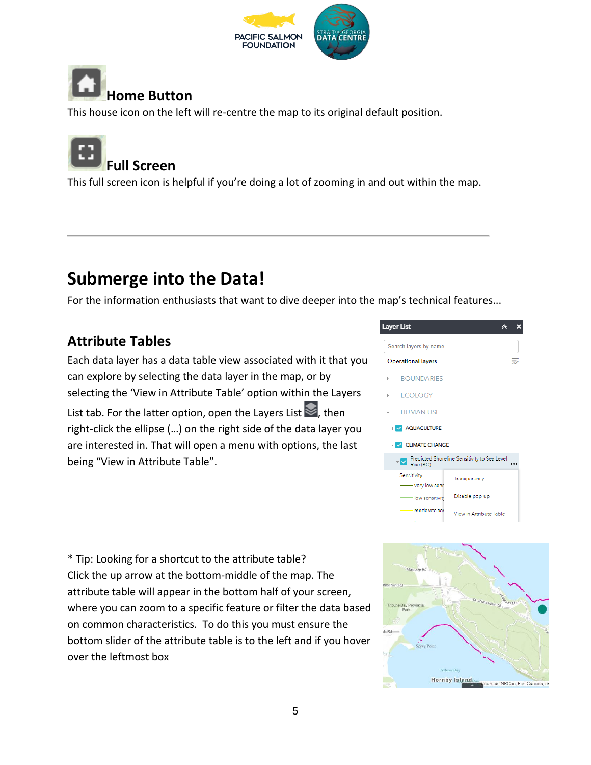



This house icon on the left will re-centre the map to its original default position.



This full screen icon is helpful if you're doing a lot of zooming in and out within the map.

## **Submerge into the Data!**

For the information enthusiasts that want to dive deeper into the map's technical features...

#### **Attribute Tables**

Each data layer has a data table view associated with it that you can explore by selecting the data layer in the map, or by selecting the 'View in Attribute Table' option within the Layers

List tab. For the latter option, open the Layers List  $\blacktriangleright$ , then right-click the ellipse (…) on the right side of the data layer you are interested in. That will open a menu with options, the last being "View in Attribute Table".



\* Tip: Looking for a shortcut to the attribute table? Click the up arrow at the bottom-middle of the map. The attribute table will appear in the bottom half of your screen, where you can zoom to a specific feature or filter the data based on common characteristics. To do this you must ensure the bottom slider of the attribute table is to the left and if you hover over the leftmost box